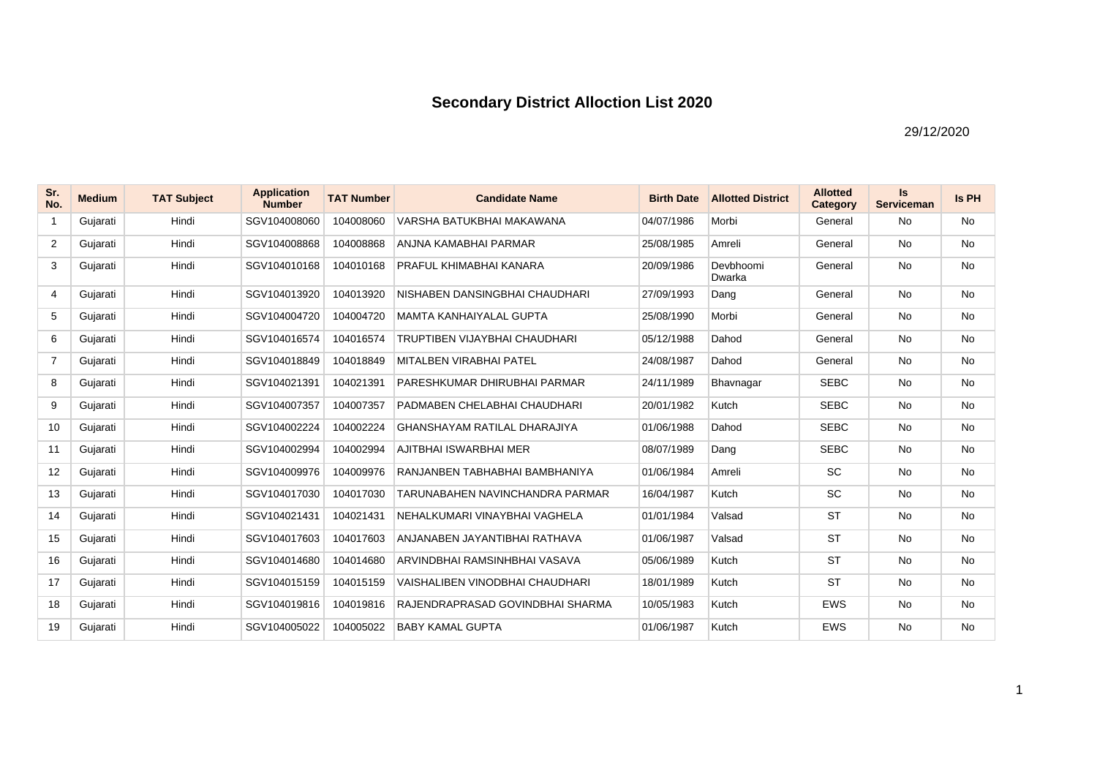## **Secondary District Alloction List 2020**

29/12/2020

| Sr.<br>No.     | <b>Medium</b> | <b>TAT Subject</b> | <b>Application</b><br><b>Number</b> | <b>TAT Number</b> | <b>Candidate Name</b>                  | <b>Birth Date</b> | <b>Allotted District</b> | <b>Allotted</b><br>Category | Is<br><b>Serviceman</b> | Is PH     |
|----------------|---------------|--------------------|-------------------------------------|-------------------|----------------------------------------|-------------------|--------------------------|-----------------------------|-------------------------|-----------|
| $\mathbf{1}$   | Gujarati      | Hindi              | SGV104008060                        | 104008060         | VARSHA BATUKBHAI MAKAWANA              | 04/07/1986        | Morbi                    | General                     | <b>No</b>               | <b>No</b> |
| 2              | Gujarati      | Hindi              | SGV104008868                        | 104008868         | ANJNA KAMABHAI PARMAR                  | 25/08/1985        | Amreli                   | General                     | No                      | No        |
| 3              | Gujarati      | Hindi              | SGV104010168                        | 104010168         | PRAFUL KHIMABHAI KANARA                | 20/09/1986        | Devbhoomi<br>Dwarka      | General                     | <b>No</b>               | <b>No</b> |
| 4              | Gujarati      | Hindi              | SGV104013920                        | 104013920         | NISHABEN DANSINGBHAI CHAUDHARI         | 27/09/1993        | Dang                     | General                     | No                      | <b>No</b> |
| 5              | Gujarati      | Hindi              | SGV104004720                        | 104004720         | <b>MAMTA KANHAIYALAL GUPTA</b>         | 25/08/1990        | Morbi                    | General                     | <b>No</b>               | <b>No</b> |
| 6              | Gujarati      | Hindi              | SGV104016574                        | 104016574         | TRUPTIBEN VIJAYBHAI CHAUDHARI          | 05/12/1988        | Dahod                    | General                     | <b>No</b>               | <b>No</b> |
| $\overline{7}$ | Gujarati      | Hindi              | SGV104018849                        | 104018849         | <b>MITALBEN VIRABHAI PATEL</b>         | 24/08/1987        | Dahod                    | General                     | <b>No</b>               | <b>No</b> |
| 8              | Gujarati      | Hindi              | SGV104021391                        | 104021391         | PARESHKUMAR DHIRUBHAI PARMAR           | 24/11/1989        | Bhavnagar                | <b>SEBC</b>                 | <b>No</b>               | <b>No</b> |
| 9              | Gujarati      | Hindi              | SGV104007357                        | 104007357         | PADMABEN CHELABHAI CHAUDHARI           | 20/01/1982        | Kutch                    | <b>SEBC</b>                 | <b>No</b>               | <b>No</b> |
| 10             | Gujarati      | Hindi              | SGV104002224                        | 104002224         | GHANSHAYAM RATILAL DHARAJIYA           | 01/06/1988        | Dahod                    | <b>SEBC</b>                 | No                      | <b>No</b> |
| 11             | Gujarati      | Hindi              | SGV104002994                        | 104002994         | AJITBHAI ISWARBHAI MER                 | 08/07/1989        | Dang                     | <b>SEBC</b>                 | <b>No</b>               | <b>No</b> |
| 12             | Gujarati      | Hindi              | SGV104009976                        | 104009976         | RANJANBEN TABHABHAI BAMBHANIYA         | 01/06/1984        | Amreli                   | <b>SC</b>                   | <b>No</b>               | <b>No</b> |
| 13             | Gujarati      | Hindi              | SGV104017030                        | 104017030         | TARUNABAHEN NAVINCHANDRA PARMAR        | 16/04/1987        | Kutch                    | <b>SC</b>                   | No                      | <b>No</b> |
| 14             | Gujarati      | Hindi              | SGV104021431                        | 104021431         | NEHALKUMARI VINAYBHAI VAGHELA          | 01/01/1984        | Valsad                   | <b>ST</b>                   | <b>No</b>               | <b>No</b> |
| 15             | Gujarati      | Hindi              | SGV104017603                        | 104017603         | ANJANABEN JAYANTIBHAI RATHAVA          | 01/06/1987        | Valsad                   | <b>ST</b>                   | No                      | <b>No</b> |
| 16             | Gujarati      | Hindi              | SGV104014680                        | 104014680         | ARVINDBHAI RAMSINHBHAI VASAVA          | 05/06/1989        | Kutch                    | <b>ST</b>                   | No                      | <b>No</b> |
| 17             | Gujarati      | Hindi              | SGV104015159                        | 104015159         | <b>VAISHALIBEN VINODBHAI CHAUDHARI</b> | 18/01/1989        | Kutch                    | <b>ST</b>                   | No                      | <b>No</b> |
| 18             | Gujarati      | Hindi              | SGV104019816                        | 104019816         | RAJENDRAPRASAD GOVINDBHAI SHARMA       | 10/05/1983        | Kutch                    | <b>EWS</b>                  | No                      | No        |
| 19             | Gujarati      | Hindi              | SGV104005022                        | 104005022         | <b>BABY KAMAL GUPTA</b>                | 01/06/1987        | Kutch                    | <b>EWS</b>                  | <b>No</b>               | <b>No</b> |